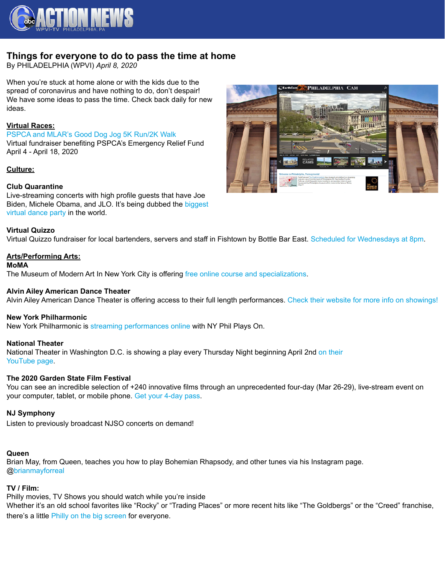

# **Things for everyone to do to pass the time at home**

By PHILADELPHIA (WPVI) *April 8, 2020*

When you're stuck at home alone or with the kids due to the spread of coronavirus and have nothing to do, don't despair! We have some ideas to pass the time. Check back daily for new ideas.

## **Virtual Races:**

[PSPCA and MLAR's Good Dog Jog 5K Run/2K Walk](https://raceroster.com/events/2020/31048/good-dog-jog-5k-run2k-walk) Virtual fundraiser benefiting PSPCA's Emergency Relief Fund April 4 - April 18, 2020

## **Culture:**

#### **Club Quarantine**

Live-streaming concerts with high profile guests that have Joe Biden, Michele Obama, and JLO. It's being dubbed the [biggest](https://www.oprahmag.com/entertainment/a31860967/dj-dnice-instagram-dance-party-coronavirus-quarantine/)  [virtual dance party](https://www.oprahmag.com/entertainment/a31860967/dj-dnice-instagram-dance-party-coronavirus-quarantine/) in the world.

#### **Virtual Quizzo**

Virtual Quizzo fundraiser for local bartenders, servers and staff in Fishtown by Bottle Bar East. [Scheduled for Wednesdays at 8pm](https://facebook.com/events/s/quizzo-launch-party/348740822690864/?ti=ic).

## **Arts/Performing Arts:**

#### **MoMA**

The Museum of Modern Art In New York City is offering [free online course and specializations.](https://www.coursera.org/moma)

#### **Alvin Ailey American Dance Theater**

Alvin Ailey American Dance Theater is offering access to their full length performances. [Check their website for more info on showings!](https://www.alvinailey.org/ailey-all-acces)

#### **New York Philharmonic**

New York Philharmonic is [streaming performances online](https://nyphil.org/404?item=%2fplayso&user=extranet%5cAnonymous&site=NYPhil) with NY Phil Plays On.

#### **National Theater**

National Theater in Washington D.C. is showing a play every Thursday Night beginning April 2nd [on their](https://www.youtube.com/error?src=404)  [YouTube page](https://www.youtube.com/error?src=404).

#### **The 2020 Garden State Film Festival**

You can see an incredible selection of +240 innovative films through an unprecedented four-day (Mar 26-29), live-stream event on your computer, tablet, or mobile phone. [Get your 4-day pass](https://gsff.org/).

#### **NJ Symphony**

Listen to previously broadcast NJSO concerts on demand!

## **Queen**

Brian May, from Queen, teaches you how to play Bohemian Rhapsody, and other tunes via his Instagram page. [@brianmayforreal](https://www.instagram.com/brianmayforreal/)

#### **TV / Film:**

Philly movies, TV Shows you should watch while you're inside Whether it's an old school favorites like "Rocky" or "Trading Places" or more recent hits like "The Goldbergs" or the "Creed" franchise, there's a little [Philly on the big screen](https://6abc.com/entertainment/bored-at-home-here-are-16-philly-based-movies-tv-shows-you-should-watch/6056192/) for everyone.

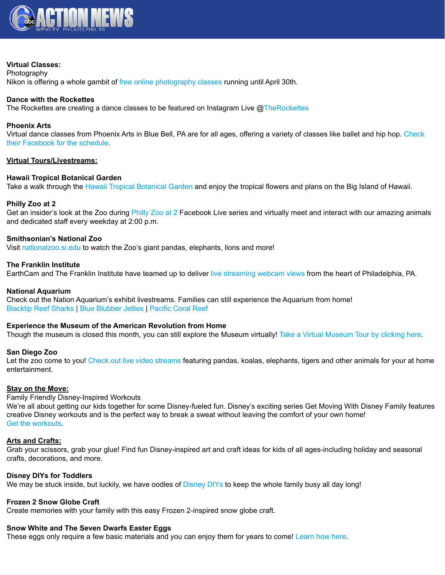

#### **Virtual Classes:**

**Photography** Nikon is offering a whole gambit of [free online photography classes](https://www.nikonevents.com/us/live/nikon-school-onlin) running until April 30th.

## **Dance with the Rockettes**

The Rockettes are creating a dance classes to be featured on Instagram Live  $@The Rockettes$ 

#### **Phoenix Arts**

Virtual dance classes from Phoenix Arts in Blue Bell, PA are for all ages, offering a variety of classes like ballet and hip hop. [Check](https://www.facebook.com/phoenixartsdance)  [their Facebook for the schedule](https://www.facebook.com/phoenixartsdance).

## **Virtual Tours/Livestreams:**

#### **Hawaii Tropical Botanical Garden**

Take a walk through the [Hawaii Tropical Botanical Garden](https://www.youtube.com/watch?v=BtZ0dcUzGX8&feature=youtu.be) and enjoy the tropical flowers and plans on the Big Island of Hawaii.

#### **Philly Zoo at 2**

Get an insider's look at the Zoo during [Philly Zoo at 2](https://www.facebook.com/philadelphiazoo/) Facebook Live series and virtually meet and interact with our amazing animals and dedicated staff every weekday at 2:00 p.m.

#### **Smithsonian's National Zoo**

Visit [nationalzoo.si.edu](https://nationalzoo.si.edu/webcams) to watch the Zoo's giant pandas, elephants, lions and more!

#### **The Franklin Institute**

EarthCam and The Franklin Institute have teamed up to deliver [live streaming webcam views](https://www.earthcam.com/usa/pennsylvania/philadelphia/?cam=philly) from the heart of Philadelphia, PA.

#### **National Aquarium**

Check out the Nation Aquarium's exhibit livestreams. Families can still experience the Aquarium from home! [Blacktip Reef Sharks](https://www.aqua.org/Experience/live#btr) | [Blue Blubber Jellies](https://www.aqua.org/Experience/live#jellies) | [Pacific Coral Reef](https://www.aqua.org/Experience/live#pcr)

#### **Experience the Museum of the American Revolution from Home**

Though the museum is closed this month, you can still explore the Museum virtually! [Take a Virtual Museum Tour by clicking here.](https://www.amrevmuseum.org/education/digital-resources)

#### **San Diego Zoo**

Let the zoo come to you! [Check out live video streams](https://zoo.sandiegozoo.org/live-cams) featuring pandas, koalas, elephants, tigers and other animals for your at home entertainment.

#### **Stay on the Move:**

Family Friendly Disney-Inspired Workouts

We're all about getting our kids together for some Disney-fueled fun. Disney's exciting series Get Moving With Disney Family features creative Disney workouts and is the perfect way to break a sweat without leaving the comfort of your own home! [Get the workouts.](https://family.disney.com/articles/disney-workouts/)

#### **Arts and Crafts:**

Grab your scissors, grab your glue! Find fun Disney-inspired art and craft ideas for kids of all ages-including holiday and seasonal crafts, decorations, and more.

#### **Disney DIYs for Toddlers**

We may be stuck inside, but luckily, we have oodles of [Disney DIYs](https://family.disney.com/crafts/disney-diys-for-toddlers/) to keep the whole family busy all day long!

#### **Frozen 2 Snow Globe Craft**

Create memories with your family with this easy Frozen 2-inspired snow globe craft.

## **Snow White and The Seven Dwarfs Easter Eggs**

These eggs only require a few basic materials and you can enjoy them for years to come! [Learn how here](https://family.disney.com/craft/snow-white-and-the-seven-dwarfs-easter-eggs/).